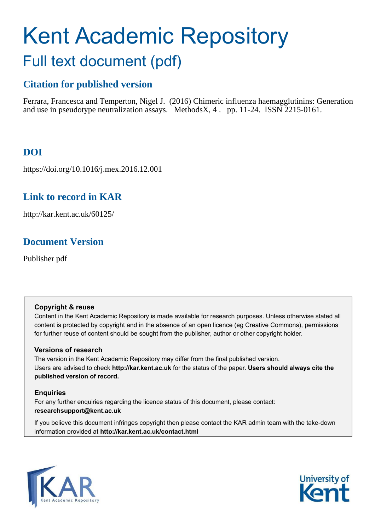# <span id="page-0-0"></span>Kent Academic Repository Full text document (pdf)

# **Citation for published version**

Ferrara, Francesca and Temperton, Nigel J. (2016) Chimeric influenza haemagglutinins: Generation and use in pseudotype neutralization assays. MethodsX, 4 . pp. 11-24. ISSN 2215-0161.

# **DOI**

https://doi.org/10.1016/j.mex.2016.12.001

## **Link to record in KAR**

http://kar.kent.ac.uk/60125/

# **Document Version**

Publisher pdf

### **Copyright & reuse**

Content in the Kent Academic Repository is made available for research purposes. Unless otherwise stated all content is protected by copyright and in the absence of an open licence (eg Creative Commons), permissions for further reuse of content should be sought from the publisher, author or other copyright holder.

### **Versions of research**

The version in the Kent Academic Repository may differ from the final published version. Users are advised to check **http://kar.kent.ac.uk** for the status of the paper. **Users should always cite the published version of record.**

### **Enquiries**

For any further enquiries regarding the licence status of this document, please contact: **researchsupport@kent.ac.uk**

If you believe this document infringes copyright then please contact the KAR admin team with the take-down information provided at **http://kar.kent.ac.uk/contact.html**



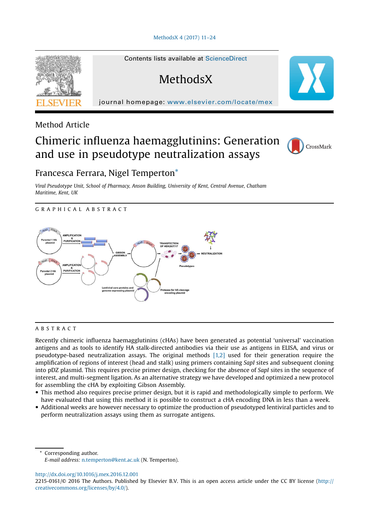#### [MethodsX 4 \(2017\) 11](http://dx.doi.org/10.1016/j.mex.2016.12.001)–24



Method Article

### Chimeric influenza haemagglutinins: Generation and use in pseudotype neutralization assays



### Francesca Ferrara, Nigel Temperto[n\\*](#page-0-0)

*Viral Pseudotype Unit, School of Pharmacy, Anson Building, University of Kent, Central Avenue, Chatham Maritime, Kent, UK*

GRAPHICAL ABSTRACT



#### ABSTRACT

Recently chimeric influenza haemagglutinins (cHAs) have been generated as potential 'universal' vaccination antigens and as tools to identify HA stalk-directed antibodies via their use as antigens in ELISA, and virus or pseudotype-based neutralization assays. The original methods [\[1,2\]](#page-12-0) used for their generation require the amplification of regions of interest (head and stalk) using primers containing *SapI* sites and subsequent cloning into pDZ plasmid. This requires precise primer design, checking for the absence of *SapI* sites in the sequence of interest, and multi-segment ligation. As an alternative strategy we have developed and optimized a new protocol for assembling the cHA by exploiting Gibson Assembly.

- This method also requires precise primer design, but it is rapid and methodologically simple to perform. We have evaluated that using this method it is possible to construct a cHA encoding DNA in less than a week.
- Additional weeks are however necessary to optimize the production of pseudotyped lentiviral particles and to perform neutralization assays using them as surrogate antigens.

Corresponding author. *E-mail address:* [n.temperton@kent.ac.uk](mailto:n.temperton@kent.ac.uk) (N. Temperton).

<http://dx.doi.org/10.1016/j.mex.2016.12.001>

<sup>2215-0161/© 2016</sup> The Authors. Published by Elsevier B.V. This is an open access article under the CC BY license ([http://](http://creativecommons.org/licenses/by/4.0/) [creativecommons.org/licenses/by/4.0/](http://creativecommons.org/licenses/by/4.0/)).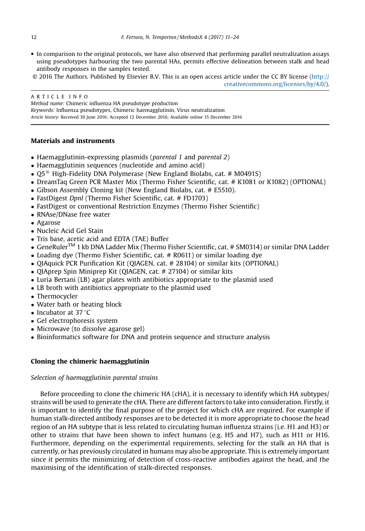- In comparison to the original protocols, we have also observed that performing parallel neutralization assays using pseudotypes harbouring the two parental HAs, permits effective delineation between stalk and head antibody responses in the samples tested.
- © 2016 The Authors. Published by Elsevier B.V. This is an open access article under the CC BY license ([http://](http://creativecommons.org/licenses/by/4.0/)

[creativecommons.org/licenses/by/4.0/\)](http://creativecommons.org/licenses/by/4.0/).

ARTICLE INFO *Method name:* Chimeric influenza HA pseudotype production *Keywords:* Influenza pseudotypes, Chimeric haemagglutinin, Virus neutralization *Article history:* Received 30 June 2016; Accepted 12 December 2016; Available online 15 December 2016

#### Materials and instruments

- Haemagglutinin-expressing plasmids (*parental 1* and *parental 2*)
- Haemagglutinin sequences (nucleotide and amino acid)
- $Q5^{\circledR}$  High-Fidelity DNA Polymerase (New England Biolabs, cat. # M0491S)
- DreamTaq Green PCR Master Mix (Thermo Fisher Scientific, cat. # K1081 or K1082) (OPTIONAL)
- Gibson Assembly Cloning kit (New England Biolabs, cat. # E5510).
- FastDigest *DpnI* (Thermo Fisher Scientific, cat. # FD1703)
- FastDigest or conventional Restriction Enzymes (Thermo Fisher Scientific)
- RNAse/DNase free water
- Agarose
- Nucleic Acid Gel Stain
- Tris base, acetic acid and EDTA (TAE) Buffer
- GeneRulerTM 1 kb DNA Ladder Mix (Thermo Fisher Scientific, cat. # SM0314) or similar DNA Ladder
- Loading dye (Thermo Fisher Scientific, cat. # R0611) or similar loading dye
- OIAquick PCR Purification Kit (OIAGEN, cat. # 28104) or similar kits (OPTIONAL)
- OIAprep Spin Miniprep Kit (OIAGEN, cat. # 27104) or similar kits
- Luria Bertani (LB) agar plates with antibiotics appropriate to the plasmid used
- LB broth with antibiotics appropriate to the plasmid used
- Thermocycler
- Water bath or heating block
- Incubator at  $37^{\circ}$ C
- Gel electrophoresis system
- Microwave (to dissolve agarose gel)
- Bioinformatics software for DNA and protein sequence and structure analysis

#### Cloning the chimeric haemagglutinin

#### *Selection of haemagglutinin parental strains*

Before proceeding to clone the chimeric HA (cHA), it is necessary to identify which HA subtypes/ strains will be used to generate the cHA. There are different factors to take into consideration. Firstly, it is important to identify the final purpose of the project for which cHA are required. For example if human stalk-directed antibody responses are to be detected it is more appropriate to choose the head region of an HA subtype that is less related to circulating human influenza strains (i.e. H1 and H3) or other to strains that have been shown to infect humans (e.g. H5 and H7), such as H11 or H16. Furthermore, depending on the experimental requirements, selecting for the stalk an HA that is currently, or has previously circulated in humans may also be appropriate. This is extremely important since it permits the minimizing of detection of cross-reactive antibodies against the head, and the maximising of the identification of stalk-directed responses.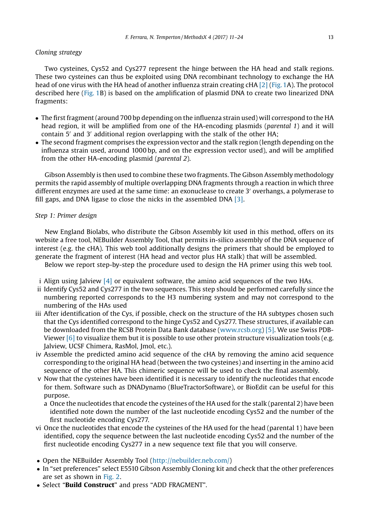#### *F. Ferrara, N. Temperton / MethodsX 4 (2017) 11*–*24* 13

#### *Cloning strategy*

Two cysteines, Cys52 and Cys277 represent the hinge between the HA head and stalk regions. These two cysteines can thus be exploited using DNA recombinant technology to exchange the HA head of one virus with the HA head of another influenza strain creating cHA [\[2\]](#page-12-0) (Fig. 1A). The protocol described here (Fig. 1B) is based on the amplification of plasmid DNA to create two linearized DNA fragments:

- The first fragment (around 700 bp depending on the influenza strain used) will correspond to the HA head region, it will be amplified from one of the HA-encoding plasmids (*parental 1*) and it will contain  $5'$  and  $3'$  additional region overlapping with the stalk of the other HA;
- The second fragment comprises the expression vector and the stalk region (length depending on the influenza strain used, around 1000 bp, and on the expression vector used), and will be amplified from the other HA-encoding plasmid (*parental 2*).

Gibson Assembly is then used to combine these two fragments. The Gibson Assembly methodology permits the rapid assembly of multiple overlapping DNA fragments through a reaction in which three different enzymes are used at the same time: an exonuclease to create 3' overhangs, a polymerase to fill gaps, and DNA ligase to close the nicks in the assembled DNA [\[3\].](#page-12-0)

#### *Step 1: Primer design*

New England Biolabs, who distribute the Gibson Assembly kit used in this method, offers on its website a free tool, NEBuilder Assembly Tool, that permits in-silico assembly of the DNA sequence of interest (e.g. the cHA). This web tool additionally designs the primers that should be employed to generate the fragment of interest (HA head and vector plus HA stalk) that will be assembled.

Below we report step-by-step the procedure used to design the HA primer using this web tool.

- i Align using Jalview  $[4]$  or equivalent software, the amino acid sequences of the two HAs.
- ii Identify Cys52 and Cys277 in the two sequences. This step should be performed carefully since the numbering reported corresponds to the H3 numbering system and may not correspond to the numbering of the HAs used
- iii After identification of the Cys, if possible, check on the structure of the HA subtypes chosen such that the Cys identified correspond to the hinge Cys52 and Cys277. These structures, if available can be downloaded from the RCSB Protein Data Bank database [\(www.rcsb.org\)](http://www.rcsb.org) [\[5\]](#page-12-0). We use Swiss PDB-Viewer  $[6]$  to visualize them but it is possible to use other protein structure visualization tools (e.g. Jalview, UCSF Chimera, RasMol, Jmol, etc.).
- iv Assemble the predicted amino acid sequence of the cHA by removing the amino acid sequence corresponding to the original HA head (between the two cysteines) and inserting in the amino acid sequence of the other HA. This chimeric sequence will be used to check the final assembly.
- v Now that the cysteines have been identified it is necessary to identify the nucleotides that encode for them. Software such as DNADynamo (BlueTractorSoftware), or BioEdit can be useful for this purpose.
	- a Once the nucleotides that encode the cysteines of the HA used for the stalk (parental 2) have been identified note down the number of the last nucleotide encoding Cys52 and the number of the first nucleotide encoding Cys277.
- vi Once the nucleotides that encode the cysteines of the HA used for the head (parental 1) have been identified, copy the sequence between the last nucleotide encoding Cys52 and the number of the first nucleotide encoding Cys277 in a new sequence text file that you will conserve.
- Open the NEBuilder Assembly Tool (<http://nebuilder.neb.com/>)
- In "set preferences" select E5510 Gibson Assembly Cloning kit and check that the other preferences are set as shown in [Fig. 2](#page-4-0).
- Select "Build Construct" and press "ADD FRAGMENT".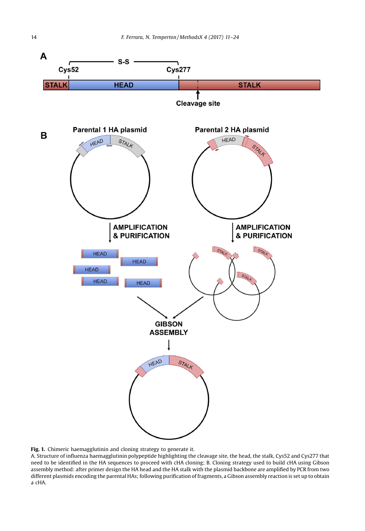<span id="page-4-0"></span>

Fig. 1. Chimeric haemagglutinin and cloning strategy to generate it.

A. Structure of influenza haemagglutinin polypeptide highlighting the cleavage site, the head, the stalk, Cys52 and Cys277 that need to be identified in the HA sequences to proceed with cHA cloning; B. Cloning strategy used to build cHA using Gibson assembly method: after primer design the HA head and the HA stalk with the plasmid backbone are amplified by PCR from two different plasmids encoding the parental HAs; following purification of fragments, a Gibson assembly reaction is set up to obtain a cHA.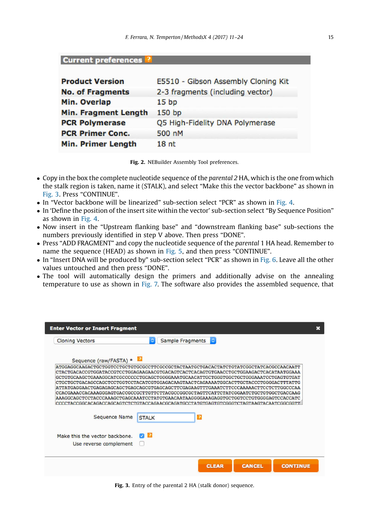Current preferences ?

| <b>Product Version</b>      | E5510 - Gibson Assembly Cloning Kit |
|-----------------------------|-------------------------------------|
| <b>No. of Fragments</b>     | 2-3 fragments (including vector)    |
| Min. Overlap                | 15 <sub>bp</sub>                    |
| <b>Min. Fragment Length</b> | 150 bp                              |
| <b>PCR Polymerase</b>       | Q5 High-Fidelity DNA Polymerase     |
| <b>PCR Primer Conc.</b>     | 500 nM                              |
| <b>Min. Primer Length</b>   | 18 <sub>nt</sub>                    |

Fig. 2. NEBuilder Assembly Tool preferences.

- Copy in the box the complete nucleotide sequence of the *parental 2* HA, which is the one from which the stalk region is taken, name it (STALK), and select "Make this the vector backbone" as shown in [Fig. 3.](#page-4-0) Press "CONTINUE".
- In "Vector backbone will be linearized" sub-section select "PCR" as shown in Fig. 4.
- In 'Define the position of the insert site within the vector' sub-section select "By Sequence Position" as shown in Fig. 4.
- Now insert in the "Upstream flanking base" and "downstream flanking base" sub-sections the numbers previously identified in step V above. Then press "DONE".
- Press "ADD FRAGMENT" and copy the nucleotide sequence of the *parental* 1 HA head. Remember to name the sequence (HEAD) as shown in Fig. 5, and then press "CONTINUE".
- In "Insert DNA will be produced by" sub-section select "PCR" as shown in [Fig. 6](#page-6-0). Leave all the other values untouched and then press "DONE".
- The tool will automatically design the primers and additionally advise on the annealing temperature to use as shown in [Fig. 7.](#page-6-0) The software also provides the assembled sequence, that

| <b>Enter Vector or Insert Fragment</b>                                                                                                                                                                                                                                                                                                                                                                                                                                                                                                                                               | × |
|--------------------------------------------------------------------------------------------------------------------------------------------------------------------------------------------------------------------------------------------------------------------------------------------------------------------------------------------------------------------------------------------------------------------------------------------------------------------------------------------------------------------------------------------------------------------------------------|---|
| ¢<br>$\ddot{\circ}$<br>Sample Fragments<br><b>Cloning Vectors</b>                                                                                                                                                                                                                                                                                                                                                                                                                                                                                                                    |   |
| Sequence (raw/FASTA) *<br>ATGGAGGCAAGACTGCTGGTCCTGCTGCTGCGCCCTTCGCCCGCTACTAATGCTGACACTATCTGTATCGGCTATCACGCCAACAATT<br> GCTGTGCAAGCTGAAAGGCATCGCCCCCCTGCAGCTGGGGAAATGCAACATTGCTGGGTGGCTGCTGGGAAATCCTGAGTGTGAT<br> CTGCTGCTGACAGCCAGCTCCTGGTCCTACATCGTGGAGACAAGTAACTCAGAAAATGGCACTTGCTACCCTGGGGACTTTATTG<br> ATTATGAGGAACTGAGAGAGCAGCTGAGCAGCGTGAGCAGCTTCGAGAAGTTTGAAATCTTCCCAAAAACTTCCTCTTGGCCCAA<br> CCACGAAACCACAAAGGGAGTGACCGCCGCTTGTTCTTACGCCGGCGCTAGTTCATTCTATCGGAATCTGCTGTGGCTGACCAAG<br> AAAGGCAGCTCCTACCCAAAGCTGAGCAAATCCTATGTGAACAATAAGGGGAAAGAGGTGCTGCTCCTGTGGGGAGTCCACCATC |   |
| Sequence Name<br>$\overline{2}$<br><b>STALK</b>                                                                                                                                                                                                                                                                                                                                                                                                                                                                                                                                      |   |
| $\sqrt{2}$<br>Make this the vector backbone.<br>Use reverse complement                                                                                                                                                                                                                                                                                                                                                                                                                                                                                                               |   |
| <b>CLEAR</b><br><b>CANCEL</b><br><b>CONTINUE</b>                                                                                                                                                                                                                                                                                                                                                                                                                                                                                                                                     |   |

Fig. 3. Entry of the parental 2 HA (stalk donor) sequence.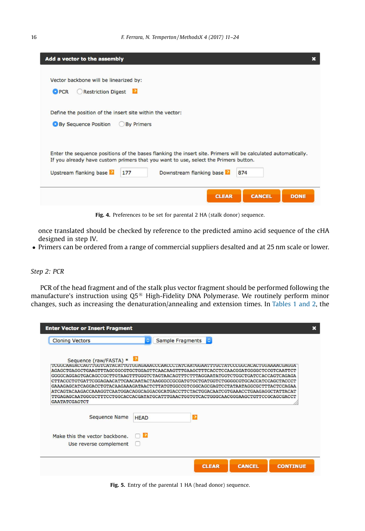<span id="page-6-0"></span>

| Add a vector to the assembly                                                                                  | × |
|---------------------------------------------------------------------------------------------------------------|---|
|                                                                                                               |   |
| Vector backbone will be linearized by:                                                                        |   |
| <b>Restriction Digest</b><br><b>O</b> PCR                                                                     |   |
|                                                                                                               |   |
| Define the position of the insert site within the vector:                                                     |   |
| <b>By Sequence Position</b><br><b>By Primers</b>                                                              |   |
|                                                                                                               |   |
|                                                                                                               |   |
| Enter the sequence positions of the bases flanking the insert site. Primers will be calculated automatically. |   |
| If you already have custom primers that you want to use, select the Primers button.                           |   |
| Upstream flanking base<br>Downstream flanking base<br>177<br>874                                              |   |
|                                                                                                               |   |
| <b>CLEAR</b><br><b>CANCEL</b><br><b>DONE</b>                                                                  |   |
|                                                                                                               |   |

Fig. 4. Preferences to be set for parental 2 HA (stalk donor) sequence.

once translated should be checked by reference to the predicted amino acid sequence of the cHA designed in step IV.

Primers can be ordered from a range of commercial suppliers desalted and at 25 nm scale or lower.

#### *Step 2: PCR*

PCR of the head fragment and of the stalk plus vector fragment should be performed following the manufacture's instruction using Q5<sup>®</sup> High-Fidelity DNA Polymerase. We routinely perform minor changes, such as increasing the denaturation/annealing and extension times. In [Tables 1 and 2](#page-7-0), the

| <b>Enter Vector or Insert Fragment</b>                                                                                                                                                                                                                                                                                                                                                                                                                                                                                                                                                                                                                                                                                        |             |                         |                |               | $\boldsymbol{\mathsf{x}}$ |
|-------------------------------------------------------------------------------------------------------------------------------------------------------------------------------------------------------------------------------------------------------------------------------------------------------------------------------------------------------------------------------------------------------------------------------------------------------------------------------------------------------------------------------------------------------------------------------------------------------------------------------------------------------------------------------------------------------------------------------|-------------|-------------------------|----------------|---------------|---------------------------|
| <b>Cloning Vectors</b>                                                                                                                                                                                                                                                                                                                                                                                                                                                                                                                                                                                                                                                                                                        | ٥           | <b>Sample Fragments</b> | $\ddot{\circ}$ |               |                           |
| Sequence (raw/FASTA) *<br>TEGCOAREGREGETEGTORVAOROTEGRAFIAGRAFIECOARECOFRIGARIEGANDUCERIU (COPATECOREGORIA) EGRAFIECOARE<br>AGAGCTGAGGCTGAAGTTTAGCGGCGTGCTGGAGTTCAACAAGTTTGAAGCTTTCACCTCCAACGGATGGGGCTCCGTCAATTCT<br>GGGGCAGGAGTGACAGCCCCTTGTAAGTTTGGGTCTAGTAACAGTTTCTTTAGGAATATGGTCTGGCTGATCCACCAGTCAGAGA<br>CTTACCCTGTGATTCGGAGAACATTCAACAATACTAAGGGCCGCGATGTGCTGATGGTCTGGGCGTGCACCATCCAGCTACCCT<br>GAAAGAGCATCAGGACCTGTACAAGAAAGATAACTCTTATGTGGCCGTCGGCAGCGAGTCCTATAATAGGCGCTTTACTCCAGAA<br>ATCAGTACAAGACCAAAGGTCAATGGACAGGCAGGACGCATGACCTTCTACTGGACAATCGTGAAACCTGAAGAGGCTATTACAT<br>TTGAGAGCAATGGCGCTTTCCTGGCACCACGATATGCATTTGAACTGGTGTCACTGGGCAACGGGAAGCTGTTCCGCAGCGACCT<br><b>GAATATCGAGTCT</b><br><b>Sequence Name</b> | <b>HEAD</b> |                         | $\overline{2}$ |               |                           |
| Make this the vector backbone.<br>Use reverse complement                                                                                                                                                                                                                                                                                                                                                                                                                                                                                                                                                                                                                                                                      | 2           |                         |                |               |                           |
|                                                                                                                                                                                                                                                                                                                                                                                                                                                                                                                                                                                                                                                                                                                               |             |                         | <b>CLEAR</b>   | <b>CANCEL</b> | <b>CONTINUE</b>           |

Fig. 5. Entry of the parental 1 HA (head donor) sequence.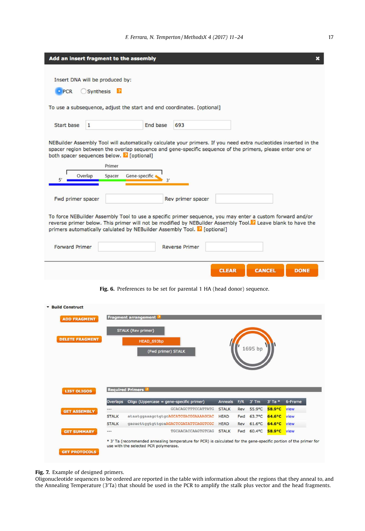<span id="page-7-0"></span>

|                          | Add an insert fragment to the assembly                                                                                                                                                                                                                                                                               |                     |                                                                        |              |               | ×           |
|--------------------------|----------------------------------------------------------------------------------------------------------------------------------------------------------------------------------------------------------------------------------------------------------------------------------------------------------------------|---------------------|------------------------------------------------------------------------|--------------|---------------|-------------|
|                          |                                                                                                                                                                                                                                                                                                                      |                     |                                                                        |              |               |             |
|                          | Insert DNA will be produced by:                                                                                                                                                                                                                                                                                      |                     |                                                                        |              |               |             |
| · PCR                    | Synthesis 2                                                                                                                                                                                                                                                                                                          |                     |                                                                        |              |               |             |
|                          | To use a subsequence, adjust the start and end coordinates. [optional]                                                                                                                                                                                                                                               |                     |                                                                        |              |               |             |
| <b>Start base</b>        | $\mathbf{1}$                                                                                                                                                                                                                                                                                                         | <b>End base</b>     | 693                                                                    |              |               |             |
| 51                       | NEBuilder Assembly Tool will automatically calculate your primers. If you need extra nucleotides inserted in the<br>spacer region between the overlap sequence and gene-specific sequence of the primers, please enter one or<br>both spacer sequences below. <sup>2</sup> [optional]<br>Primer<br>Overlap<br>Spacer | Gene-specific<br>3' |                                                                        |              |               |             |
| Fwd primer spacer        |                                                                                                                                                                                                                                                                                                                      |                     | Rev primer spacer                                                      |              |               |             |
|                          | To force NEBuilder Assembly Tool to use a specific primer sequence, you may enter a custom forward and/or<br>reverse primer below. This primer will not be modified by NEBuilder Assembly Tool. <sup>2</sup> Leave blank to have the<br>primers automatically calulated by NEBuilder Assembly Tool. 2 [optional]     |                     |                                                                        |              |               |             |
| <b>Forward Primer</b>    |                                                                                                                                                                                                                                                                                                                      |                     | <b>Reverse Primer</b>                                                  |              |               |             |
|                          |                                                                                                                                                                                                                                                                                                                      |                     |                                                                        | <b>CLEAR</b> | <b>CANCEL</b> | <b>DONE</b> |
|                          |                                                                                                                                                                                                                                                                                                                      |                     | Fig. 6. Preferences to be set for parental 1 HA (head donor) sequence. |              |               |             |
| <b>* Build Construct</b> |                                                                                                                                                                                                                                                                                                                      |                     |                                                                        |              |               |             |

| <b>DELETE FRAGMENT</b> |              | <b>STALK (Rev primer)</b><br>HEAD 693bp<br>(Fwd primer) STALK |              |     | 1695 bp               |                  |         |
|------------------------|--------------|---------------------------------------------------------------|--------------|-----|-----------------------|------------------|---------|
|                        |              |                                                               |              |     |                       |                  |         |
| <b>LIST OLIGOS</b>     |              | <b>Required Primers ?</b>                                     |              |     |                       |                  |         |
|                        | Overlaps     | Oligo (Uppercase = gene-specific primer)                      | Anneals      | F/R | $3'$ Tm               | $3'$ Ta $*$      | 6-Frame |
| <b>GET ASSEMBLY</b>    | $---$        | <b>GCACAGCTTTCCATTATG</b>                                     | <b>STALK</b> | Rev | $55.9^{\circ}C$       | 58.9°C           | view    |
|                        | <b>STALK</b> | ataatggaaagctgtgcAGCATCGACGGAAAAGCAC                          | <b>HEAD</b>  | Fwd | $63.7^{\circ}$ C      | $64.6^{\circ}$ C | view    |
|                        | <b>STALK</b> | qacacttqqtqttqcaAGACTCGATATTCAGGTCGC                          | <b>HEAD</b>  | Rev | $61.6$ <sup>o</sup> C | $64.6^{\circ}C$  | view    |

#### Fig. 7. Example of designed primers.

Oligonucleotide sequences to be ordered are reported in the table with information about the regions that they anneal to, and<br>the Annealing Temperature (3'Ta) that should be used in the PCR to amplify the stalk plus vector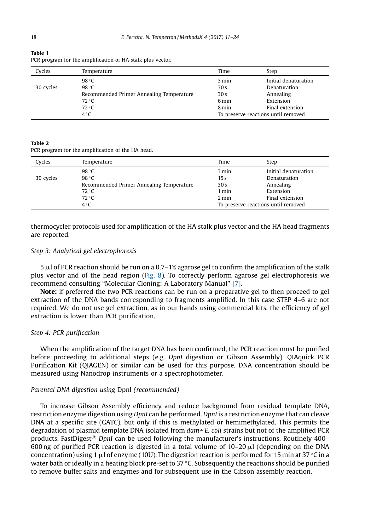| Cycles    | Temperature                              | Time            | Step                                |
|-----------|------------------------------------------|-----------------|-------------------------------------|
|           | $98^{\circ}$ C                           | 3 min           | Initial denaturation                |
| 30 cycles | $98^{\circ}$ C                           | 30 <sub>s</sub> | Denaturation                        |
|           | Recommended Primer Annealing Temperature | 30 <sub>s</sub> | Annealing                           |
|           | $72^{\circ}$ C                           | 6 min           | Extension                           |
|           | 72 °C                                    | 8 min           | Final extension                     |
|           | $4^{\circ}$ C                            |                 | To preserve reactions until removed |

Table 1 PCR program for the amplification of HA stalk plus vector.

#### Table 2

PCR program for the amplification of the HA head.

| Cycles    | Temperature                              | Time            | Step                                |
|-----------|------------------------------------------|-----------------|-------------------------------------|
|           | $98^{\circ}$ C                           | 3 min           | Initial denaturation                |
| 30 cycles | 98 °C                                    | 15 <sub>s</sub> | Denaturation                        |
|           | Recommended Primer Annealing Temperature | 30 <sub>s</sub> | Annealing                           |
|           | $72^{\circ}$ C                           | 1 min           | Extension                           |
|           | 72 °C                                    | 2 min           | Final extension                     |
|           | $4^{\circ}$ C                            |                 | To preserve reactions until removed |

thermocycler protocols used for amplification of the HA stalk plus vector and the HA head fragments are reported.

#### *Step 3: Analytical gel electrophoresis*

 $5 \mu$  of PCR reaction should be run on a 0.7–1% agarose gel to confirm the amplification of the stalk plus vector and of the head region (Fig. 8). To correctly perform agarose gel electrophoresis we recommend consulting "Molecular Cloning: A Laboratory Manual" [\[7\]](#page-12-0).

Note: if preferred the two PCR reactions can be run on a preparative gel to then proceed to gel extraction of the DNA bands corresponding to fragments amplified. In this case STEP 4–6 are not required. We do not use gel extraction, as in our hands using commercial kits, the efficiency of gel extraction is lower than PCR purification.

#### *Step 4: PCR puri*fi*cation*

When the amplification of the target DNA has been confirmed, the PCR reaction must be purified before proceeding to additional steps (e.g. *DpnI* digestion or Gibson Assembly). QIAquick PCR Purification Kit (QIAGEN) or similar can be used for this purpose. DNA concentration should be measured using Nanodrop instruments or a spectrophotometer.

#### *Parental DNA digestion using* DpnI *(recommended)*

To increase Gibson Assembly efficiency and reduce background from residual template DNA, restriction enzyme digestion using *DpnI* can be performed. *DpnI* is a restriction enzyme that can cleave DNA at a specific site (GATC), but only if this is methylated or hemimethylated. This permits the degradation of plasmid template DNA isolated from *dam+ E. coli* strains but not of the amplified PCR products. FastDigest<sup>®</sup> DpnI can be used following the manufacturer's instructions. Routinely 400– 600 ng of purified PCR reaction is digested in a total volume of  $10-20 \mu$ l (depending on the DNA concentration) using 1  $\mu$ l of enzyme (10U). The digestion reaction is performed for 15 min at 37 °C in a water bath or ideally in a heating block pre-set to  $37$  °C. Subsequently the reactions should be purified to remove buffer salts and enzymes and for subsequent use in the Gibson assembly reaction.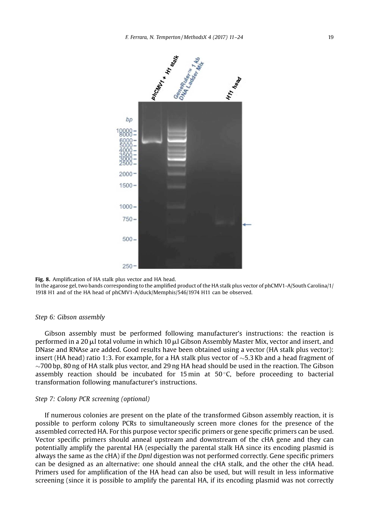<span id="page-9-0"></span>

Fig. 8. Amplification of HA stalk plus vector and HA head.

In the agarose gel, two bands corresponding to the amplified product of the HA stalk plus vector of phCMV1-A/South Carolina/1/ 1918 H1 and of the HA head of phCMV1-A/duck/Memphis/546/1974 H11 can be observed.

#### *Step 6: Gibson assembly*

Gibson assembly must be performed following manufacturer's instructions: the reaction is performed in a 20  $\mu$ l total volume in which 10  $\mu$ l Gibson Assembly Master Mix, vector and insert, and DNase and RNAse are added. Good results have been obtained using a vector (HA stalk plus vector): insert (HA head) ratio 1:3. For example, for a HA stalk plus vector of  $\sim$  5.3 Kb and a head fragment of  $\sim$ 700 bp, 80 ng of HA stalk plus vector, and 29 ng HA head should be used in the reaction. The Gibson assembly reaction should be incubated for 15 min at  $50^{\circ}$ C, before proceeding to bacterial transformation following manufacturer's instructions.

#### *Step 7: Colony PCR screening (optional)*

If numerous colonies are present on the plate of the transformed Gibson assembly reaction, it is possible to perform colony PCRs to simultaneously screen more clones for the presence of the assembled corrected HA. For this purpose vector specific primers or gene specific primers can be used. Vector specific primers should anneal upstream and downstream of the cHA gene and they can potentially amplify the parental HA (especially the parental stalk HA since its encoding plasmid is always the same as the cHA) if the *DpnI* digestion was not performed correctly. Gene specific primers can be designed as an alternative: one should anneal the cHA stalk, and the other the cHA head. Primers used for amplification of the HA head can also be used, but will result in less informative screening (since it is possible to amplify the parental HA, if its encoding plasmid was not correctly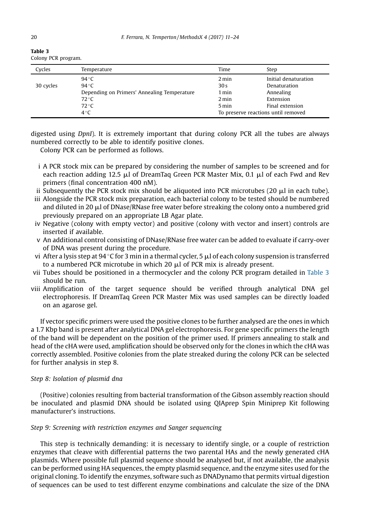| 2<br>0 |  |
|--------|--|
|        |  |
|        |  |

| table 5 |                     |
|---------|---------------------|
|         | Colony PCR program. |

| Cycles    | Temperature                                 | Time            | Step                                |
|-----------|---------------------------------------------|-----------------|-------------------------------------|
|           | $94^{\circ}$ C                              | 2 min           | Initial denaturation                |
| 30 cycles | $94^{\circ}$ C                              | 30 <sub>s</sub> | Denaturation                        |
|           | Depending on Primers' Annealing Temperature | 1 min           | Annealing                           |
|           | $72^{\circ}$ C                              | 2 min           | Extension                           |
|           | $72^{\circ}$ C                              | 5 min           | Final extension                     |
|           | $4^{\circ}$ C                               |                 | To preserve reactions until removed |

digested using *DpnI*). It is extremely important that during colony PCR all the tubes are always numbered correctly to be able to identify positive clones.

Colony PCR can be performed as follows.

- i A PCR stock mix can be prepared by considering the number of samples to be screened and for each reaction adding 12.5  $\mu$ l of DreamTaq Green PCR Master Mix, 0.1  $\mu$ l of each Fwd and Rev primers (final concentration 400 nM).
- ii Subsequently the PCR stock mix should be aliquoted into PCR microtubes  $(20 \mu)$  in each tube).
- iii Alongside the PCR stock mix preparation, each bacterial colony to be tested should be numbered and diluted in 20  $\mu$ l of DNase/RNase free water before streaking the colony onto a numbered grid previously prepared on an appropriate LB Agar plate.
- iv Negative (colony with empty vector) and positive (colony with vector and insert) controls are inserted if available.
- v An additional control consisting of DNase/RNase free water can be added to evaluate if carry-over of DNA was present during the procedure.
- vi After a lysis step at 94 °C for 3 min in a thermal cycler, 5  $\mu$  of each colony suspension is transferred to a numbered PCR microtube in which 20  $\mu$ l of PCR mix is already present.
- vii Tubes should be positioned in a thermocycler and the colony PCR program detailed in [Table 3](#page-9-0) should be run.
- viii Amplification of the target sequence should be verified through analytical DNA gel electrophoresis. If DreamTaq Green PCR Master Mix was used samples can be directly loaded on an agarose gel.

If vector specific primers were used the positive clones to be further analysed are the ones in which a 1.7 Kbp band is present after analytical DNA gel electrophoresis. For gene specific primers the length of the band will be dependent on the position of the primer used. If primers annealing to stalk and head of the cHA were used, amplification should be observed only for the clones in which the cHA was correctly assembled. Positive colonies from the plate streaked during the colony PCR can be selected for further analysis in step 8.

#### *Step 8: Isolation of plasmid dna*

(Positive) colonies resulting from bacterial transformation of the Gibson assembly reaction should be inoculated and plasmid DNA should be isolated using QIAprep Spin Miniprep Kit following manufacturer's instructions.

#### *Step 9: Screening with restriction enzymes and Sanger sequencing*

This step is technically demanding: it is necessary to identify single, or a couple of restriction enzymes that cleave with differential patterns the two parental HAs and the newly generated cHA plasmids. Where possible full plasmid sequence should be analysed but, if not available, the analysis can be performed using HA sequences, the empty plasmid sequence, and the enzyme sites used for the original cloning. To identify the enzymes, software such as DNADynamo that permits virtual digestion of sequences can be used to test different enzyme combinations and calculate the size of the DNA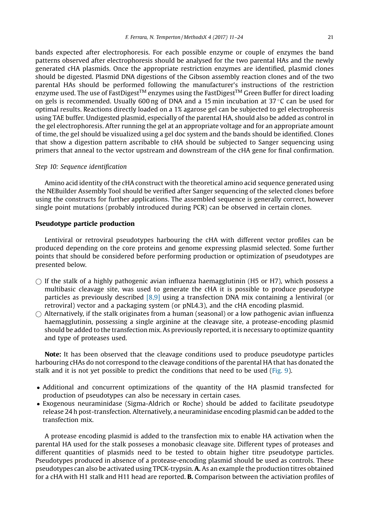<span id="page-11-0"></span>bands expected after electrophoresis. For each possible enzyme or couple of enzymes the band patterns observed after electrophoresis should be analysed for the two parental HAs and the newly generated cHA plasmids. Once the appropriate restriction enzymes are identified, plasmid clones should be digested. Plasmid DNA digestions of the Gibson assembly reaction clones and of the two parental HAs should be performed following the manufacturer's instructions of the restriction enzyme used. The use of FastDigest<sup>TM</sup> enzymes using the FastDigest<sup>TM</sup> Green Buffer for direct loading on gels is recommended. Usually 600 ng of DNA and a 15 min incubation at 37 °C can be used for optimal results. Reactions directly loaded on a 1% agarose gel can be subjected to gel electrophoresis using TAE buffer. Undigested plasmid, especially of the parental HA, should also be added as control in the gel electrophoresis. After running the gel at an appropriate voltage and for an appropriate amount of time, the gel should be visualized using a gel doc system and the bands should be identified. Clones that show a digestion pattern ascribable to cHA should be subjected to Sanger sequencing using primers that anneal to the vector upstream and downstream of the cHA gene for final confirmation.

#### *Step 10: Sequence identi*fi*cation*

Amino acid identity of the cHA construct with the theoretical amino acid sequence generated using the NEBuilder Assembly Tool should be verified after Sanger sequencing of the selected clones before using the constructs for further applications. The assembled sequence is generally correct, however single point mutations (probably introduced during PCR) can be observed in certain clones.

#### Pseudotype particle production

Lentiviral or retroviral pseudotypes harbouring the cHA with different vector profiles can be produced depending on the core proteins and genome expressing plasmid selected. Some further points that should be considered before performing production or optimization of pseudotypes are presented below.

- $\bigcap$  If the stalk of a highly pathogenic avian influenza haemagglutinin (H5 or H7), which possess a multibasic cleavage site, was used to generate the cHA it is possible to produce pseudotype particles as previously described [\[8,9\]](#page-12-0) using a transfection DNA mix containing a lentiviral (or retroviral) vector and a packaging system (or pNL4.3), and the cHA encoding plasmid.
- $\bigcirc$  Alternatively, if the stalk originates from a human (seasonal) or a low pathogenic avian influenza haemagglutinin, possessing a single arginine at the cleavage site, a protease-encoding plasmid should be added to the transfection mix. As previously reported, it is necessary to optimize quantity and type of proteases used.

Note: It has been observed that the cleavage conditions used to produce pseudotype particles harbouring cHAs do not correspond to the cleavage conditions of the parental HA that has donated the stalk and it is not yet possible to predict the conditions that need to be used (Fig. 9).

- Additional and concurrent optimizations of the quantity of the HA plasmid transfected for production of pseudotypes can also be necessary in certain cases.
- Exogenous neuraminidase (Sigma-Aldrich or Roche) should be added to facilitate pseudotype release 24 h post-transfection. Alternatively, a neuraminidase encoding plasmid can be added to the transfection mix.

A protease encoding plasmid is added to the transfection mix to enable HA activation when the parental HA used for the stalk posseses a monobasic cleavage site. Different types of proteases and different quantities of plasmids need to be tested to obtain higher titre pseudotype particles. Pseudotypes produced in absence of a protease-encoding plasmid should be used as controls. These pseudotypes can also be activated using TPCK-trypsin. A. As an example the production titres obtained for a cHA with H1 stalk and H11 head are reported. B. Comparison between the activiation profiles of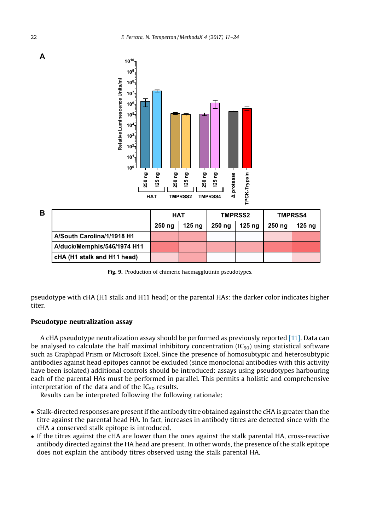

| в |                             | HAT    |        | <b>TMPRSS2</b> |        | <b>TMPRSS4</b>    |                   |
|---|-----------------------------|--------|--------|----------------|--------|-------------------|-------------------|
|   |                             | 250 ng | 125 na | 250 ng         | 125 na | 250 <sub>ng</sub> | 125 <sub>ng</sub> |
|   | A/South Carolina/1/1918 H1  |        |        |                |        |                   |                   |
|   | A/duck/Memphis/546/1974 H11 |        |        |                |        |                   |                   |
|   | cHA (H1 stalk and H11 head) |        |        |                |        |                   |                   |

Fig. 9. Production of chimeric haemagglutinin pseudotypes.

pseudotype with cHA (H1 stalk and H11 head) or the parental HAs: the darker color indicates higher titer.

#### Pseudotype neutralization assay

A cHA pseudotype neutralization assay should be performed as previously reported [\[11\]](#page-13-0). Data can be analysed to calculate the half maximal inhibitory concentration  $(IC_{50})$  using statistical software such as Graphpad Prism or Microsoft Excel. Since the presence of homosubtypic and heterosubtypic antibodies against head epitopes cannot be excluded (since monoclonal antibodies with this activity have been isolated) additional controls should be introduced: assays using pseudotypes harbouring each of the parental HAs must be performed in parallel. This permits a holistic and comprehensive interpretation of the data and of the  $IC_{50}$  results.

Results can be interpreted following the following rationale:

- Stalk-directed responses are present if the antibody titre obtained against the cHA is greater than the titre against the parental head HA. In fact, increases in antibody titres are detected since with the cHA a conserved stalk epitope is introduced.
- If the titres against the cHA are lower than the ones against the stalk parental HA, cross-reactive antibody directed against the HA head are present. In other words, the presence of the stalk epitope does not explain the antibody titres observed using the stalk parental HA.

<span id="page-12-0"></span>**A**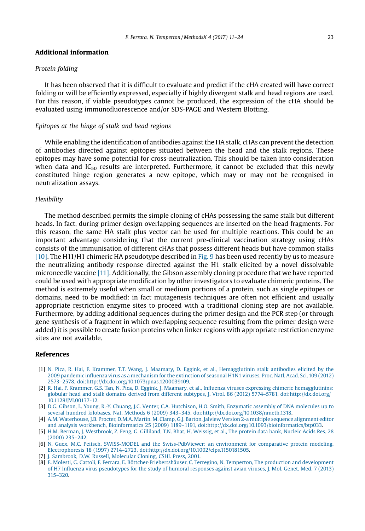#### <span id="page-13-0"></span>Additional information

#### *Protein folding*

It has been observed that it is difficult to evaluate and predict if the cHA created will have correct folding or will be efficiently expressed, especially if highly divergent stalk and head regions are used. For this reason, if viable pseudotypes cannot be produced, the expression of the cHA should be evaluated using immunofluorescence and/or SDS-PAGE and Western Blotting.

#### *Epitopes at the hinge of stalk and head regions*

While enabling the identification of antibodies against the HA stalk, cHAs can prevent the detection of antibodies directed against epitopes situated between the head and the stalk regions. These epitopes may have some potential for cross-neutralization. This should be taken into consideration when data and  $IC_{50}$  results are interpreted. Furthermore, it cannot be excluded that this newly constituted hinge region generates a new epitope, which may or may not be recognised in neutralization assays.

#### *Flexibility*

The method described permits the simple cloning of cHAs possessing the same stalk but different heads. In fact, during primer design overlapping sequences are inserted on the head fragments. For this reason, the same HA stalk plus vector can be used for multiple reactions. This could be an important advantage considering that the current pre-clinical vaccination strategy using cHAs consists of the immunisation of different cHAs that possess different heads but have common stalks [10]. The H11/H1 chimeric HA pseudotype described in [Fig. 9](#page-11-0) has been used recently by us to measure the neutralizing antibody response directed against the H1 stalk elicited by a novel dissolvable microneedle vaccine [11]. Additionally, the Gibson assembly cloning procedure that we have reported could be used with appropriate modification by other investigators to evaluate chimeric proteins. The method is extremely useful when small or medium portions of a protein, such as single epitopes or domains, need to be modified: in fact mutagenesis techniques are often not efficient and usually appropriate restriction enzyme sites to proceed with a traditional cloning step are not available. Furthermore, by adding additional sequences during the primer design and the PCR step (or through gene synthesis of a fragment in which overlapping sequence resulting from the primer design were added) it is possible to create fusion proteins when linker regions with appropriate restriction enzyme sites are not available.

#### References

- [1] [N. Pica, R. Hai, F. Krammer, T.T. Wang, J. Maamary, D. Eggink, et al., Hemagglutinin stalk antibodies elicited by the](http://refhub.elsevier.com/S2215-0161(16)30043-7/sbref0005) 2009 pandemic infl[uenza virus as a mechanism for the extinction of seasonal H1N1 viruses, Proc. Natl. Acad. Sci. 109 \(2012\)](http://refhub.elsevier.com/S2215-0161(16)30043-7/sbref0005) 2573–[2578, doi:http://dx.doi.org/10.1073/pnas.1200039109.](http://refhub.elsevier.com/S2215-0161(16)30043-7/sbref0005)
- [2] [R. Hai, F. Krammer, G.S. Tan, N. Pica, D. Eggink, J. Maamary, et al., In](http://refhub.elsevier.com/S2215-0161(16)30043-7/sbref0010)fluenza viruses expressing chimeric hemagglutinins: [globular head and stalk domains derived from different subtypes, J. Virol. 86 \(2012\) 5774](http://refhub.elsevier.com/S2215-0161(16)30043-7/sbref0010)–5781, doi:http://dx.doi.org/ [10.1128/JVI.00137-12.](http://dx.doi.org/10.1128/JVI.00137-12)
- [3] [D.G. Gibson, L. Young, R.-Y. Chuang, J.C. Venter, C.A. Hutchison, H.O. Smith, Enzymatic assembly of DNA molecules up to](http://refhub.elsevier.com/S2215-0161(16)30043-7/sbref0015) [several hundred kilobases, Nat. Methods 6 \(2009\) 343](http://refhub.elsevier.com/S2215-0161(16)30043-7/sbref0015)–345, doi:http://dx.doi.org/10.1038/nmeth.1318.
- [4] [A.M. Waterhouse, J.B. Procter, D.M.A. Martin, M. Clamp, G.J. Barton, Jalview Version 2-a multiple sequence alignment editor](http://refhub.elsevier.com/S2215-0161(16)30043-7/sbref0020) and analysis workbench, Bioinformatics 25 (2009) 1189–[1191, doi:http://dx.doi.org/10.1093/bioinformatics/btp033.](http://refhub.elsevier.com/S2215-0161(16)30043-7/sbref0020)
- [5] [H.M. Berman, J. Westbrook, Z. Feng, G. Gilliland, T.N. Bhat, H. Weissig, et al., The protein data bank, Nucleic Acids Res. 28](http://refhub.elsevier.com/S2215-0161(16)30043-7/sbref0025) [\(2000\) 235](http://refhub.elsevier.com/S2215-0161(16)30043-7/sbref0025)–242.
- [6] [N. Guex, M.C. Peitsch, SWISS-MODEL and the Swiss-PdbViewer: an environment for comparative protein modeling,](http://refhub.elsevier.com/S2215-0161(16)30043-7/sbref0030) Electrophoresis 18 (1997) 2714–[2723, doi:http://dx.doi.org/10.1002/elps.1150181505.](http://refhub.elsevier.com/S2215-0161(16)30043-7/sbref0030)
- [7] [J. Sambrook, D.W. Russell, Molecular Cloning, CSHL Press, 2001.](http://refhub.elsevier.com/S2215-0161(16)30043-7/sbref0035)
- [8] [E. Molesti, G. Cattoli, F. Ferrara, E. Böttcher-Friebertshäuser, C. Terregino, N. Temperton, The production and development](http://refhub.elsevier.com/S2215-0161(16)30043-7/sbref0040) of H7 Infl[uenza virus pseudotypes for the study of humoral responses against avian viruses, J. Mol. Genet. Med. 7 \(2013\)](http://refhub.elsevier.com/S2215-0161(16)30043-7/sbref0040) 315–[320](http://refhub.elsevier.com/S2215-0161(16)30043-7/sbref0040).